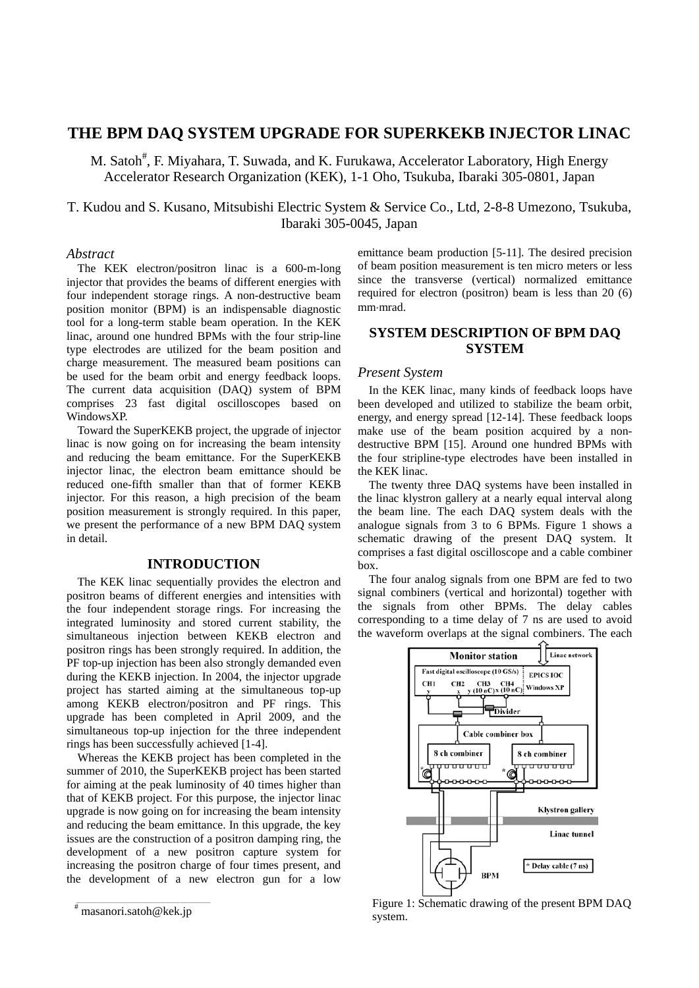# **THE BPM DAQ SYSTEM UPGRADE FOR SUPERKEKB INJECTOR LINAC**

M. Satoh<sup>#</sup>, F. Miyahara, T. Suwada, and K. Furukawa, Accelerator Laboratory, High Energy Accelerator Research Organization (KEK), 1-1 Oho, Tsukuba, Ibaraki 305-0801, Japan

T. Kudou and S. Kusano, Mitsubishi Electric System & Service Co., Ltd, 2-8-8 Umezono, Tsukuba, Ibaraki 305-0045, Japan

## *Abstract*

The KEK electron/positron linac is a 600-m-long injector that provides the beams of different energies with four independent storage rings. A non-destructive beam position monitor (BPM) is an indispensable diagnostic tool for a long-term stable beam operation. In the KEK linac, around one hundred BPMs with the four strip-line type electrodes are utilized for the beam position and charge measurement. The measured beam positions can be used for the beam orbit and energy feedback loops. The current data acquisition (DAQ) system of BPM comprises 23 fast digital oscilloscopes based on WindowsXP.

Toward the SuperKEKB project, the upgrade of injector linac is now going on for increasing the beam intensity and reducing the beam emittance. For the SuperKEKB injector linac, the electron beam emittance should be reduced one-fifth smaller than that of former KEKB injector. For this reason, a high precision of the beam position measurement is strongly required. In this paper, we present the performance of a new BPM DAQ system in detail.

## **INTRODUCTION**

The KEK linac sequentially provides the electron and positron beams of different energies and intensities with the four independent storage rings. For increasing the integrated luminosity and stored current stability, the simultaneous injection between KEKB electron and positron rings has been strongly required. In addition, the PF top-up injection has been also strongly demanded even during the KEKB injection. In 2004, the injector upgrade project has started aiming at the simultaneous top-up among KEKB electron/positron and PF rings. This upgrade has been completed in April 2009, and the simultaneous top-up injection for the three independent rings has been successfully achieved [1-4].

Whereas the KEKB project has been completed in the summer of 2010, the SuperKEKB project has been started for aiming at the peak luminosity of 40 times higher than that of KEKB project. For this purpose, the injector linac upgrade is now going on for increasing the beam intensity and reducing the beam emittance. In this upgrade, the key issues are the construction of a positron damping ring, the development of a new positron capture system for increasing the positron charge of four times present, and the development of a new electron gun for a low

emittance beam production [5-11]. The desired precision of beam position measurement is ten micro meters or less since the transverse (vertical) normalized emittance required for electron (positron) beam is less than 20 (6) mm·mrad.

# **SYSTEM DESCRIPTION OF BPM DAQ SYSTEM**

## *Present System*

In the KEK linac, many kinds of feedback loops have been developed and utilized to stabilize the beam orbit, energy, and energy spread [12-14]. These feedback loops make use of the beam position acquired by a nondestructive BPM [15]. Around one hundred BPMs with the four stripline-type electrodes have been installed in the KEK linac.

The twenty three DAQ systems have been installed in the linac klystron gallery at a nearly equal interval along the beam line. The each DAQ system deals with the analogue signals from 3 to 6 BPMs. Figure 1 shows a schematic drawing of the present DAQ system. It comprises a fast digital oscilloscope and a cable combiner box.

The four analog signals from one BPM are fed to two signal combiners (vertical and horizontal) together with the signals from other BPMs. The delay cables corresponding to a time delay of 7 ns are used to avoid the waveform overlaps at the signal combiners. The each



Figure 1: Schematic drawing of the present BPM DAQ system.

 $\bar{a}$  , and the contribution of the contribution of the contribution of the contribution of the contribution of the contribution of the contribution of the contribution of the contribution of the contribution of the con # masanori.satoh@kek.jp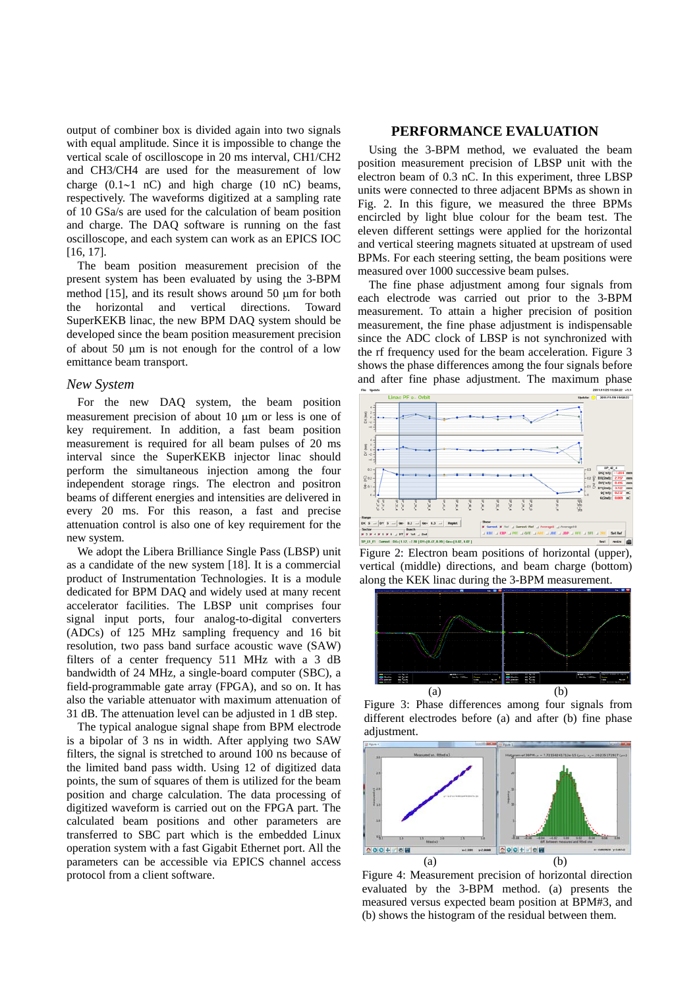output of combiner box is divided again into two signals with equal amplitude. Since it is impossible to change the vertical scale of oscilloscope in 20 ms interval, CH1/CH2 and CH3/CH4 are used for the measurement of low charge  $(0.1 \sim 1 \text{ nC})$  and high charge  $(10 \text{ nC})$  beams, respectively. The waveforms digitized at a sampling rate of 10 GSa/s are used for the calculation of beam position and charge. The DAQ software is running on the fast oscilloscope, and each system can work as an EPICS IOC [16, 17].

The beam position measurement precision of the present system has been evaluated by using the 3-BPM method [15], and its result shows around 50 um for both the horizontal and vertical directions. Toward SuperKEKB linac, the new BPM DAQ system should be developed since the beam position measurement precision of about 50  $\mu$ m is not enough for the control of a low emittance beam transport.

#### *New System*

For the new DAQ system, the beam position measurement precision of about 10  $\mu$ m or less is one of key requirement. In addition, a fast beam position measurement is required for all beam pulses of 20 ms interval since the SuperKEKB injector linac should perform the simultaneous injection among the four independent storage rings. The electron and positron beams of different energies and intensities are delivered in every 20 ms. For this reason, a fast and precise attenuation control is also one of key requirement for the new system.

We adopt the Libera Brilliance Single Pass (LBSP) unit as a candidate of the new system [18]. It is a commercial product of Instrumentation Technologies. It is a module dedicated for BPM DAQ and widely used at many recent accelerator facilities. The LBSP unit comprises four signal input ports, four analog-to-digital converters (ADCs) of 125 MHz sampling frequency and 16 bit resolution, two pass band surface acoustic wave (SAW) filters of a center frequency 511 MHz with a 3 dB bandwidth of 24 MHz, a single-board computer (SBC), a field-programmable gate array (FPGA), and so on. It has also the variable attenuator with maximum attenuation of 31 dB. The attenuation level can be adjusted in 1 dB step.

The typical analogue signal shape from BPM electrode is a bipolar of 3 ns in width. After applying two SAW filters, the signal is stretched to around 100 ns because of the limited band pass width. Using 12 of digitized data points, the sum of squares of them is utilized for the beam position and charge calculation. The data processing of digitized waveform is carried out on the FPGA part. The calculated beam positions and other parameters are transferred to SBC part which is the embedded Linux operation system with a fast Gigabit Ethernet port. All the parameters can be accessible via EPICS channel access protocol from a client software.

### **PERFORMANCE EVALUATION**

Using the 3-BPM method, we evaluated the beam position measurement precision of LBSP unit with the electron beam of 0.3 nC. In this experiment, three LBSP units were connected to three adjacent BPMs as shown in Fig. 2. In this figure, we measured the three BPMs encircled by light blue colour for the beam test. The eleven different settings were applied for the horizontal and vertical steering magnets situated at upstream of used BPMs. For each steering setting, the beam positions were measured over 1000 successive beam pulses.

The fine phase adjustment among four signals from each electrode was carried out prior to the 3-BPM measurement. To attain a higher precision of position measurement, the fine phase adjustment is indispensable since the ADC clock of LBSP is not synchronized with the rf frequency used for the beam acceleration. Figure 3 shows the phase differences among the four signals before and after fine phase adjustment. The maximum phase



Figure 2: Electron beam positions of horizontal (upper), vertical (middle) directions, and beam charge (bottom) along the KEK linac during the 3-BPM measurement.



Figure 3: Phase differences among four signals from different electrodes before (a) and after (b) fine phase adjustment.



Figure 4: Measurement precision of horizontal direction evaluated by the 3-BPM method. (a) presents the measured versus expected beam position at BPM#3, and (b) shows the histogram of the residual between them.